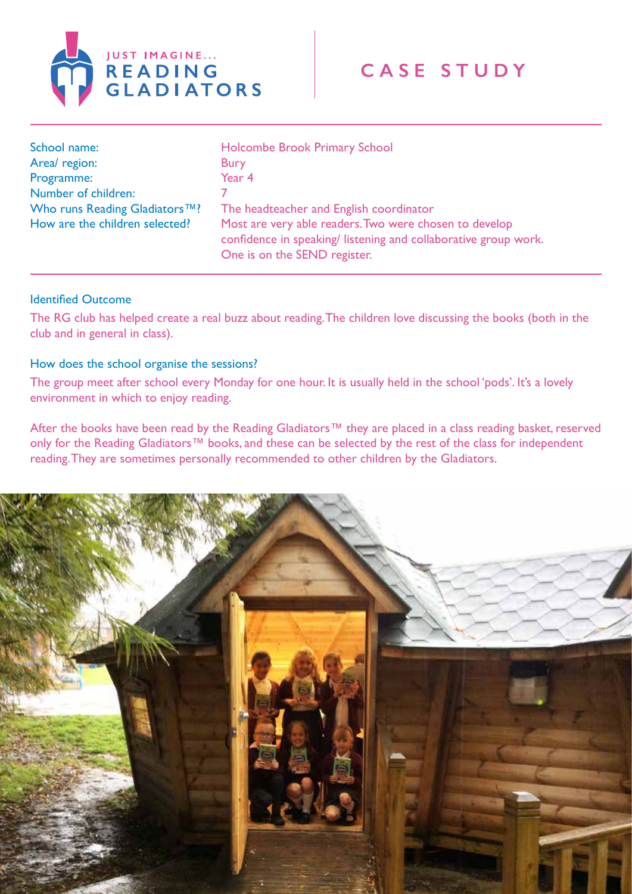

| School name:                   | Holcombe Brook Primary School                                                                                                                            |
|--------------------------------|----------------------------------------------------------------------------------------------------------------------------------------------------------|
| Area/ region:                  | <b>Bury</b>                                                                                                                                              |
| Programme:                     | Year 4                                                                                                                                                   |
| Number of children:            |                                                                                                                                                          |
| Who runs Reading Gladiators™?  | The headteacher and English coordinator                                                                                                                  |
| How are the children selected? | Most are very able readers. Two were chosen to develop<br>confidence in speaking/listening and collaborative group work.<br>One is on the SEND register. |

## Identified Outcome

The RG club has helped create a real buzz about reading. The children love discussing the books (both in the club and in general in class).

## How does the school organise the sessions?

The group meet after school every Monday for one hour. It is usually held in the school 'pods'. It's a lovely environment in which to enjoy reading.

After the books have been read by the Reading Gladiators™ they are placed in a class reading basket, reserved only for the Reading Gladiators™ books, and these can be selected by the rest of the class for independent reading. They are sometimes personally recommended to other children by the Gladiators.